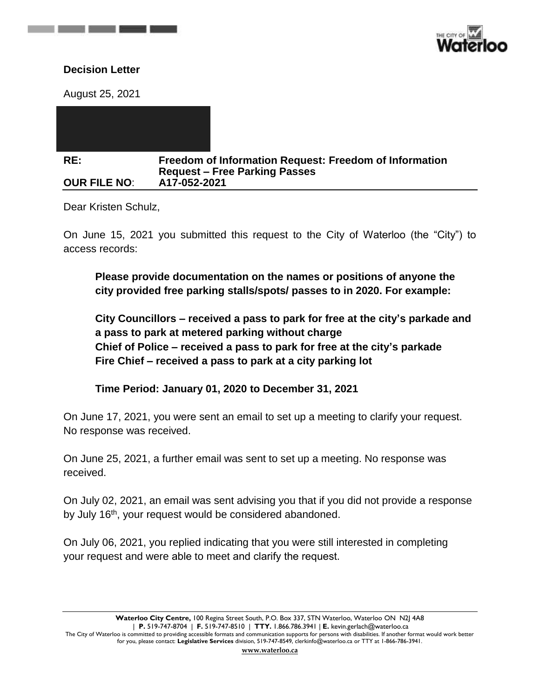

## **Decision Letter**

and the state of the state of the state of

August 25, 2021

| RE:                 | <b>Freedom of Information Request: Freedom of Information</b> |
|---------------------|---------------------------------------------------------------|
|                     | <b>Request - Free Parking Passes</b>                          |
| <b>OUR FILE NO:</b> | A17-052-2021                                                  |

Dear Kristen Schulz,

On June 15, 2021 you submitted this request to the City of Waterloo (the "City") to access records:

**Please provide documentation on the names or positions of anyone the city provided free parking stalls/spots/ passes to in 2020. For example:**

**City Councillors – received a pass to park for free at the city's parkade and a pass to park at metered parking without charge Chief of Police – received a pass to park for free at the city's parkade Fire Chief – received a pass to park at a city parking lot**

**Time Period: January 01, 2020 to December 31, 2021**

On June 17, 2021, you were sent an email to set up a meeting to clarify your request. No response was received.

On June 25, 2021, a further email was sent to set up a meeting. No response was received.

On July 02, 2021, an email was sent advising you that if you did not provide a response by July 16<sup>th</sup>, your request would be considered abandoned.

On July 06, 2021, you replied indicating that you were still interested in completing your request and were able to meet and clarify the request.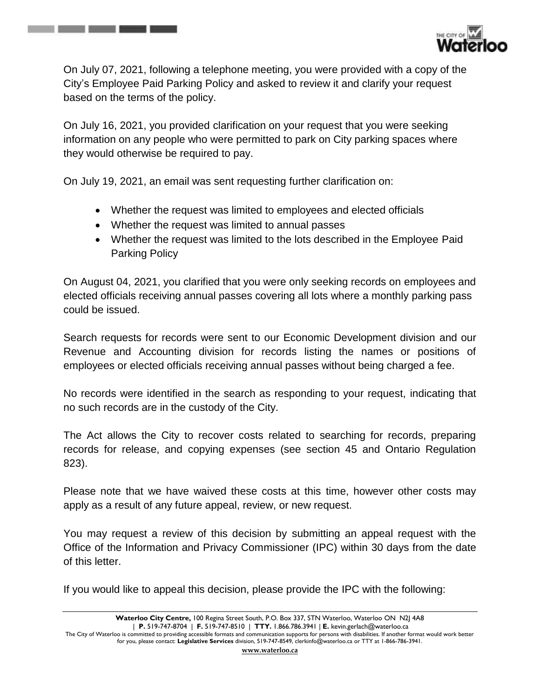

On July 07, 2021, following a telephone meeting, you were provided with a copy of the City's Employee Paid Parking Policy and asked to review it and clarify your request based on the terms of the policy.

On July 16, 2021, you provided clarification on your request that you were seeking information on any people who were permitted to park on City parking spaces where they would otherwise be required to pay.

On July 19, 2021, an email was sent requesting further clarification on:

the control of the control of the control of

- Whether the request was limited to employees and elected officials
- Whether the request was limited to annual passes
- Whether the request was limited to the lots described in the Employee Paid Parking Policy

On August 04, 2021, you clarified that you were only seeking records on employees and elected officials receiving annual passes covering all lots where a monthly parking pass could be issued.

Search requests for records were sent to our Economic Development division and our Revenue and Accounting division for records listing the names or positions of employees or elected officials receiving annual passes without being charged a fee.

No records were identified in the search as responding to your request, indicating that no such records are in the custody of the City.

The Act allows the City to recover costs related to searching for records, preparing records for release, and copying expenses (see section 45 and Ontario Regulation 823).

Please note that we have waived these costs at this time, however other costs may apply as a result of any future appeal, review, or new request.

You may request a review of this decision by submitting an appeal request with the Office of the Information and Privacy Commissioner (IPC) within 30 days from the date of this letter.

If you would like to appeal this decision, please provide the IPC with the following: